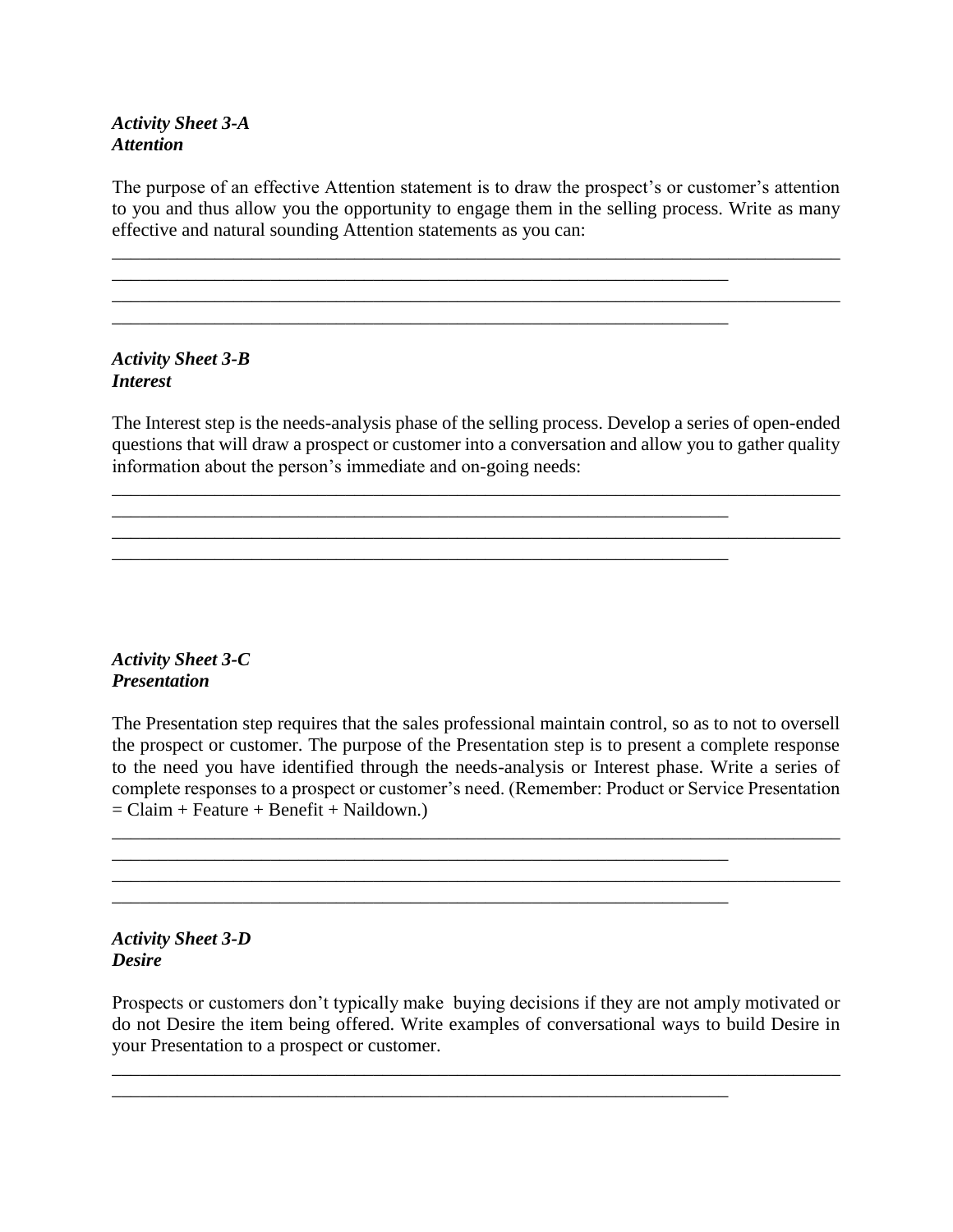## *Activity Sheet 3-A Attention*

The purpose of an effective Attention statement is to draw the prospect's or customer's attention to you and thus allow you the opportunity to engage them in the selling process. Write as many effective and natural sounding Attention statements as you can:

\_\_\_\_\_\_\_\_\_\_\_\_\_\_\_\_\_\_\_\_\_\_\_\_\_\_\_\_\_\_\_\_\_\_\_\_\_\_\_\_\_\_\_\_\_\_\_\_\_\_\_\_\_\_\_\_\_\_\_\_\_\_\_\_\_\_\_\_\_\_\_\_\_\_\_\_\_\_

\_\_\_\_\_\_\_\_\_\_\_\_\_\_\_\_\_\_\_\_\_\_\_\_\_\_\_\_\_\_\_\_\_\_\_\_\_\_\_\_\_\_\_\_\_\_\_\_\_\_\_\_\_\_\_\_\_\_\_\_\_\_\_\_\_\_\_\_\_\_\_\_\_\_\_\_\_\_

\_\_\_\_\_\_\_\_\_\_\_\_\_\_\_\_\_\_\_\_\_\_\_\_\_\_\_\_\_\_\_\_\_\_\_\_\_\_\_\_\_\_\_\_\_\_\_\_\_\_\_\_\_\_\_\_\_\_\_\_\_\_\_\_\_\_

\_\_\_\_\_\_\_\_\_\_\_\_\_\_\_\_\_\_\_\_\_\_\_\_\_\_\_\_\_\_\_\_\_\_\_\_\_\_\_\_\_\_\_\_\_\_\_\_\_\_\_\_\_\_\_\_\_\_\_\_\_\_\_\_\_\_

\_\_\_\_\_\_\_\_\_\_\_\_\_\_\_\_\_\_\_\_\_\_\_\_\_\_\_\_\_\_\_\_\_\_\_\_\_\_\_\_\_\_\_\_\_\_\_\_\_\_\_\_\_\_\_\_\_\_\_\_\_\_\_\_\_\_

\_\_\_\_\_\_\_\_\_\_\_\_\_\_\_\_\_\_\_\_\_\_\_\_\_\_\_\_\_\_\_\_\_\_\_\_\_\_\_\_\_\_\_\_\_\_\_\_\_\_\_\_\_\_\_\_\_\_\_\_\_\_\_\_\_\_

### *Activity Sheet 3-B Interest*

The Interest step is the needs-analysis phase of the selling process. Develop a series of open-ended questions that will draw a prospect or customer into a conversation and allow you to gather quality information about the person's immediate and on-going needs:

\_\_\_\_\_\_\_\_\_\_\_\_\_\_\_\_\_\_\_\_\_\_\_\_\_\_\_\_\_\_\_\_\_\_\_\_\_\_\_\_\_\_\_\_\_\_\_\_\_\_\_\_\_\_\_\_\_\_\_\_\_\_\_\_\_\_\_\_\_\_\_\_\_\_\_\_\_\_

# *Activity Sheet 3-C Presentation*

The Presentation step requires that the sales professional maintain control, so as to not to oversell the prospect or customer. The purpose of the Presentation step is to present a complete response to the need you have identified through the needs-analysis or Interest phase. Write a series of complete responses to a prospect or customer's need. (Remember: Product or Service Presentation  $=$  Claim + Feature + Benefit + Naildown.)

\_\_\_\_\_\_\_\_\_\_\_\_\_\_\_\_\_\_\_\_\_\_\_\_\_\_\_\_\_\_\_\_\_\_\_\_\_\_\_\_\_\_\_\_\_\_\_\_\_\_\_\_\_\_\_\_\_\_\_\_\_\_\_\_\_\_\_\_\_\_\_\_\_\_\_\_\_\_  $\overline{\phantom{a}}$  , and the contribution of the contribution of the contribution of the contribution of  $\overline{\phantom{a}}$ 

*Activity Sheet 3-D Desire*

Prospects or customers don't typically make buying decisions if they are not amply motivated or do not Desire the item being offered. Write examples of conversational ways to build Desire in your Presentation to a prospect or customer.

\_\_\_\_\_\_\_\_\_\_\_\_\_\_\_\_\_\_\_\_\_\_\_\_\_\_\_\_\_\_\_\_\_\_\_\_\_\_\_\_\_\_\_\_\_\_\_\_\_\_\_\_\_\_\_\_\_\_\_\_\_\_\_\_\_\_\_\_\_\_\_\_\_\_\_\_\_\_

\_\_\_\_\_\_\_\_\_\_\_\_\_\_\_\_\_\_\_\_\_\_\_\_\_\_\_\_\_\_\_\_\_\_\_\_\_\_\_\_\_\_\_\_\_\_\_\_\_\_\_\_\_\_\_\_\_\_\_\_\_\_\_\_\_\_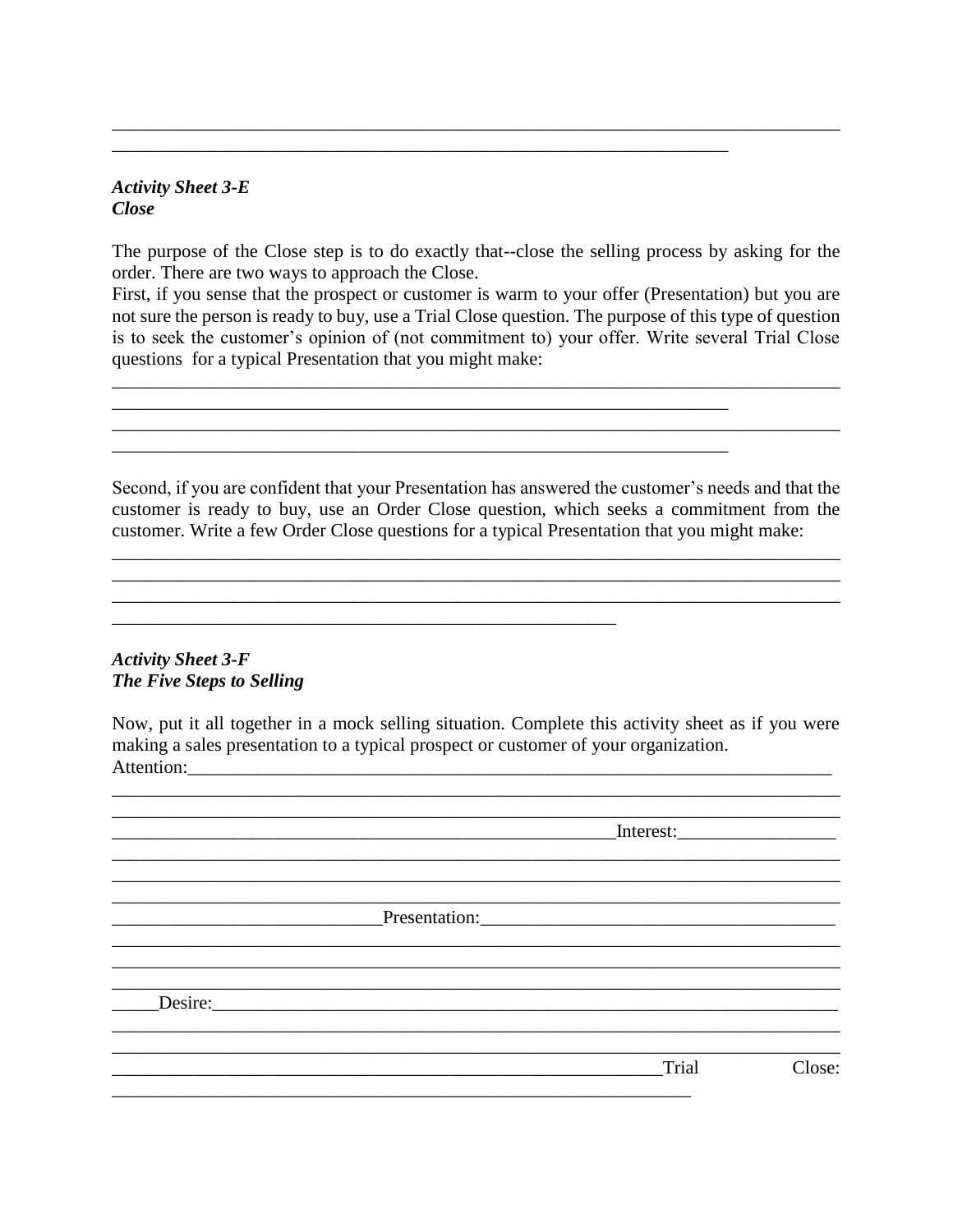## *Activity Sheet 3-E Close*

The purpose of the Close step is to do exactly that--close the selling process by asking for the order. There are two ways to approach the Close.

\_\_\_\_\_\_\_\_\_\_\_\_\_\_\_\_\_\_\_\_\_\_\_\_\_\_\_\_\_\_\_\_\_\_\_\_\_\_\_\_\_\_\_\_\_\_\_\_\_\_\_\_\_\_\_\_\_\_\_\_\_\_\_\_\_\_\_\_\_\_\_\_\_\_\_\_\_\_

\_\_\_\_\_\_\_\_\_\_\_\_\_\_\_\_\_\_\_\_\_\_\_\_\_\_\_\_\_\_\_\_\_\_\_\_\_\_\_\_\_\_\_\_\_\_\_\_\_\_\_\_\_\_\_\_\_\_\_\_\_\_\_\_\_\_

\_\_\_\_\_\_\_\_\_\_\_\_\_\_\_\_\_\_\_\_\_\_\_\_\_\_\_\_\_\_\_\_\_\_\_\_\_\_\_\_\_\_\_\_\_\_\_\_\_\_\_\_\_\_\_\_\_\_\_\_\_\_\_\_\_\_

\_\_\_\_\_\_\_\_\_\_\_\_\_\_\_\_\_\_\_\_\_\_\_\_\_\_\_\_\_\_\_\_\_\_\_\_\_\_\_\_\_\_\_\_\_\_\_\_\_\_\_\_\_\_

First, if you sense that the prospect or customer is warm to your offer (Presentation) but you are not sure the person is ready to buy, use a Trial Close question. The purpose of this type of question is to seek the customer's opinion of (not commitment to) your offer. Write several Trial Close questions for a typical Presentation that you might make:

\_\_\_\_\_\_\_\_\_\_\_\_\_\_\_\_\_\_\_\_\_\_\_\_\_\_\_\_\_\_\_\_\_\_\_\_\_\_\_\_\_\_\_\_\_\_\_\_\_\_\_\_\_\_\_\_\_\_\_\_\_\_\_\_\_\_\_\_\_\_\_\_\_\_\_\_\_\_

 $\mathcal{L}_\mathcal{L} = \{ \mathcal{L}_\mathcal{L} = \{ \mathcal{L}_\mathcal{L} = \{ \mathcal{L}_\mathcal{L} = \{ \mathcal{L}_\mathcal{L} = \{ \mathcal{L}_\mathcal{L} = \{ \mathcal{L}_\mathcal{L} = \{ \mathcal{L}_\mathcal{L} = \{ \mathcal{L}_\mathcal{L} = \{ \mathcal{L}_\mathcal{L} = \{ \mathcal{L}_\mathcal{L} = \{ \mathcal{L}_\mathcal{L} = \{ \mathcal{L}_\mathcal{L} = \{ \mathcal{L}_\mathcal{L} = \{ \mathcal{L}_\mathcal{$ 

Second, if you are confident that your Presentation has answered the customer's needs and that the customer is ready to buy, use an Order Close question, which seeks a commitment from the customer. Write a few Order Close questions for a typical Presentation that you might make:

 $\mathcal{L}_\mathcal{L} = \{ \mathcal{L}_\mathcal{L} = \{ \mathcal{L}_\mathcal{L} = \{ \mathcal{L}_\mathcal{L} = \{ \mathcal{L}_\mathcal{L} = \{ \mathcal{L}_\mathcal{L} = \{ \mathcal{L}_\mathcal{L} = \{ \mathcal{L}_\mathcal{L} = \{ \mathcal{L}_\mathcal{L} = \{ \mathcal{L}_\mathcal{L} = \{ \mathcal{L}_\mathcal{L} = \{ \mathcal{L}_\mathcal{L} = \{ \mathcal{L}_\mathcal{L} = \{ \mathcal{L}_\mathcal{L} = \{ \mathcal{L}_\mathcal{$ 

## *Activity Sheet 3-F The Five Steps to Selling*

Now, put it all together in a mock selling situation. Complete this activity sheet as if you were making a sales presentation to a typical prospect or customer of your organization. Attention:\_\_\_\_\_\_\_\_\_\_\_\_\_\_\_\_\_\_\_\_\_\_\_\_\_\_\_\_\_\_\_\_\_\_\_\_\_\_\_\_\_\_\_\_\_\_\_\_\_\_\_\_\_\_\_\_\_\_\_\_\_\_\_\_\_\_\_\_\_